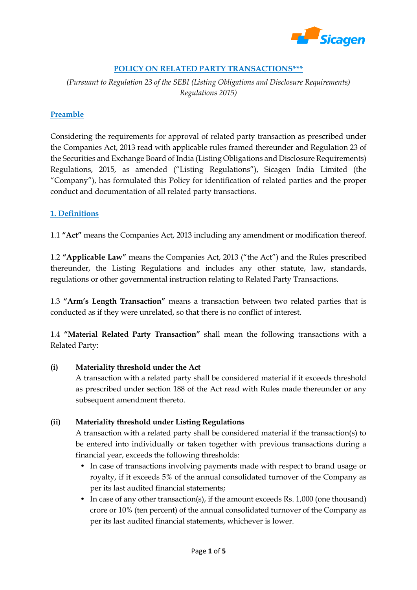

## **POLICY ON RELATED PARTY TRANSACTIONS\*\*\***

*(Pursuant to Regulation 23 of the SEBI (Listing Obligations and Disclosure Requirements) Regulations 2015)*

## **Preamble**

Considering the requirements for approval of related party transaction as prescribed under the Companies Act, 2013 read with applicable rules framed thereunder and Regulation 23 of the Securities and Exchange Board of India (Listing Obligations and Disclosure Requirements) Regulations, 2015, as amended ("Listing Regulations"), Sicagen India Limited (the "Company"), has formulated this Policy for identification of related parties and the proper conduct and documentation of all related party transactions.

## **1. Definitions**

1.1 **"Act"** means the Companies Act, 2013 including any amendment or modification thereof.

1.2 **"Applicable Law"** means the Companies Act, 2013 ("the Act") and the Rules prescribed thereunder, the Listing Regulations and includes any other statute, law, standards, regulations or other governmental instruction relating to Related Party Transactions.

1.3 **"Arm's Length Transaction"** means a transaction between two related parties that is conducted as if they were unrelated, so that there is no conflict of interest.

1.4 **"Material Related Party Transaction"** shall mean the following transactions with a Related Party:

#### **(i) Materiality threshold under the Act**

A transaction with a related party shall be considered material if it exceeds threshold as prescribed under section 188 of the Act read with Rules made thereunder or any subsequent amendment thereto.

## **(ii) Materiality threshold under Listing Regulations**

A transaction with a related party shall be considered material if the transaction(s) to be entered into individually or taken together with previous transactions during a financial year, exceeds the following thresholds:

- In case of transactions involving payments made with respect to brand usage or royalty, if it exceeds 5% of the annual consolidated turnover of the Company as per its last audited financial statements;
- In case of any other transaction(s), if the amount exceeds Rs. 1,000 (one thousand) crore or 10% (ten percent) of the annual consolidated turnover of the Company as per its last audited financial statements, whichever is lower.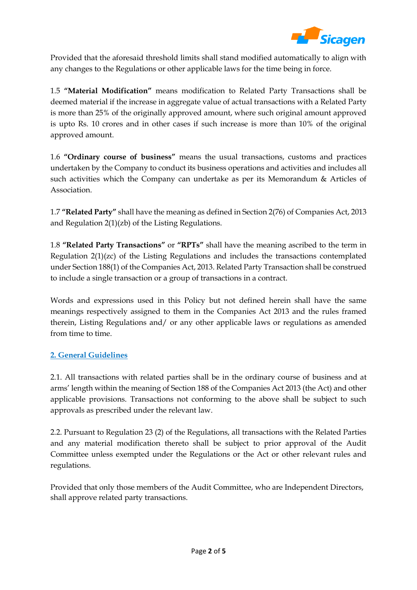

Provided that the aforesaid threshold limits shall stand modified automatically to align with any changes to the Regulations or other applicable laws for the time being in force.

1.5 **"Material Modification"** means modification to Related Party Transactions shall be deemed material if the increase in aggregate value of actual transactions with a Related Party is more than 25% of the originally approved amount, where such original amount approved is upto Rs. 10 crores and in other cases if such increase is more than 10% of the original approved amount.

1.6 **"Ordinary course of business"** means the usual transactions, customs and practices undertaken by the Company to conduct its business operations and activities and includes all such activities which the Company can undertake as per its Memorandum & Articles of Association.

1.7 **"Related Party"** shall have the meaning as defined in Section 2(76) of Companies Act, 2013 and Regulation 2(1)(zb) of the Listing Regulations.

1.8 **"Related Party Transactions"** or **"RPTs"** shall have the meaning ascribed to the term in Regulation 2(1)(zc) of the Listing Regulations and includes the transactions contemplated under Section 188(1) of the Companies Act, 2013. Related Party Transaction shall be construed to include a single transaction or a group of transactions in a contract.

Words and expressions used in this Policy but not defined herein shall have the same meanings respectively assigned to them in the Companies Act 2013 and the rules framed therein, Listing Regulations and/ or any other applicable laws or regulations as amended from time to time.

# **2. General Guidelines**

2.1. All transactions with related parties shall be in the ordinary course of business and at arms' length within the meaning of Section 188 of the Companies Act 2013 (the Act) and other applicable provisions. Transactions not conforming to the above shall be subject to such approvals as prescribed under the relevant law.

2.2. Pursuant to Regulation 23 (2) of the Regulations, all transactions with the Related Parties and any material modification thereto shall be subject to prior approval of the Audit Committee unless exempted under the Regulations or the Act or other relevant rules and regulations.

Provided that only those members of the Audit Committee, who are Independent Directors, shall approve related party transactions.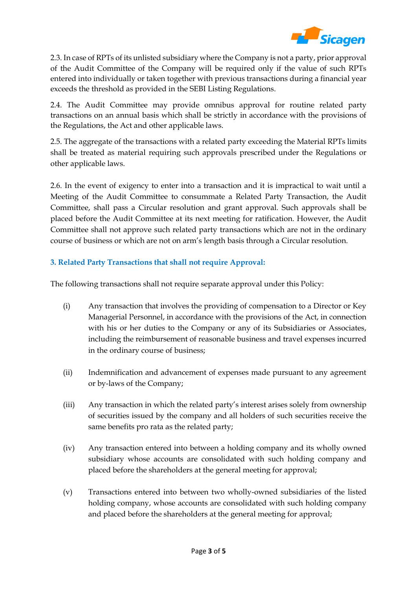

2.3. In case of RPTs of its unlisted subsidiary where the Company is not a party, prior approval of the Audit Committee of the Company will be required only if the value of such RPTs entered into individually or taken together with previous transactions during a financial year exceeds the threshold as provided in the SEBI Listing Regulations.

2.4. The Audit Committee may provide omnibus approval for routine related party transactions on an annual basis which shall be strictly in accordance with the provisions of the Regulations, the Act and other applicable laws.

2.5. The aggregate of the transactions with a related party exceeding the Material RPTs limits shall be treated as material requiring such approvals prescribed under the Regulations or other applicable laws.

2.6. In the event of exigency to enter into a transaction and it is impractical to wait until a Meeting of the Audit Committee to consummate a Related Party Transaction, the Audit Committee, shall pass a Circular resolution and grant approval. Such approvals shall be placed before the Audit Committee at its next meeting for ratification. However, the Audit Committee shall not approve such related party transactions which are not in the ordinary course of business or which are not on arm's length basis through a Circular resolution.

## **3. Related Party Transactions that shall not require Approval:**

The following transactions shall not require separate approval under this Policy:

- (i) Any transaction that involves the providing of compensation to a Director or Key Managerial Personnel, in accordance with the provisions of the Act, in connection with his or her duties to the Company or any of its Subsidiaries or Associates, including the reimbursement of reasonable business and travel expenses incurred in the ordinary course of business;
- (ii) Indemnification and advancement of expenses made pursuant to any agreement or by-laws of the Company;
- (iii) Any transaction in which the related party's interest arises solely from ownership of securities issued by the company and all holders of such securities receive the same benefits pro rata as the related party;
- (iv) Any transaction entered into between a holding company and its wholly owned subsidiary whose accounts are consolidated with such holding company and placed before the shareholders at the general meeting for approval;
- (v) Transactions entered into between two wholly-owned subsidiaries of the listed holding company, whose accounts are consolidated with such holding company and placed before the shareholders at the general meeting for approval;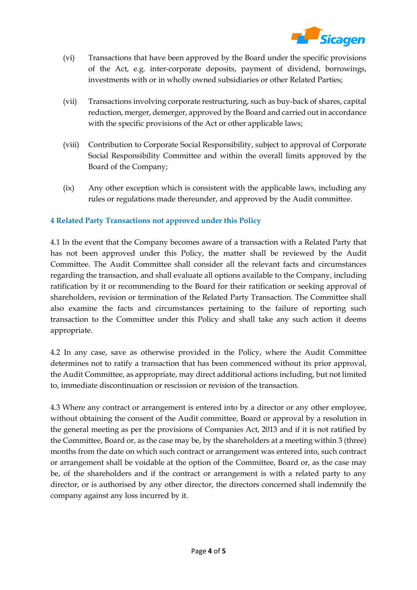

- (vi) Transactions that have been approved by the Board under the specific provisions of the Act, e.g. inter-corporate deposits, payment of dividend, borrowings, investments with or in wholly owned subsidiaries or other Related Parties;
- (vii) Transactions involving corporate restructuring, such as buy-back of shares, capital reduction, merger, demerger, approved by the Board and carried out in accordance with the specific provisions of the Act or other applicable laws;
- (viii) Contribution to Corporate Social Responsibility, subject to approval of Corporate Social Responsibility Committee and within the overall limits approved by the Board of the Company;
- (ix) Any other exception which is consistent with the applicable laws, including any rules or regulations made thereunder, and approved by the Audit committee.

## **4 Related Party Transactions not approved under this Policy**

4.1 In the event that the Company becomes aware of a transaction with a Related Party that has not been approved under this Policy, the matter shall be reviewed by the Audit Committee. The Audit Committee shall consider all the relevant facts and circumstances regarding the transaction, and shall evaluate all options available to the Company, including ratification by it or recommending to the Board for their ratification or seeking approval of shareholders, revision or termination of the Related Party Transaction. The Committee shall also examine the facts and circumstances pertaining to the failure of reporting such transaction to the Committee under this Policy and shall take any such action it deems appropriate.

4.2 In any case, save as otherwise provided in the Policy, where the Audit Committee determines not to ratify a transaction that has been commenced without its prior approval, the Audit Committee, as appropriate, may direct additional actions including, but not limited to, immediate discontinuation or rescission or revision of the transaction.

4.3 Where any contract or arrangement is entered into by a director or any other employee, without obtaining the consent of the Audit committee, Board or approval by a resolution in the general meeting as per the provisions of Companies Act, 2013 and if it is not ratified by the Committee, Board or, as the case may be, by the shareholders at a meeting within 3 (three) months from the date on which such contract or arrangement was entered into, such contract or arrangement shall be voidable at the option of the Committee, Board or, as the case may be, of the shareholders and if the contract or arrangement is with a related party to any director, or is authorised by any other director, the directors concerned shall indemnify the company against any loss incurred by it.